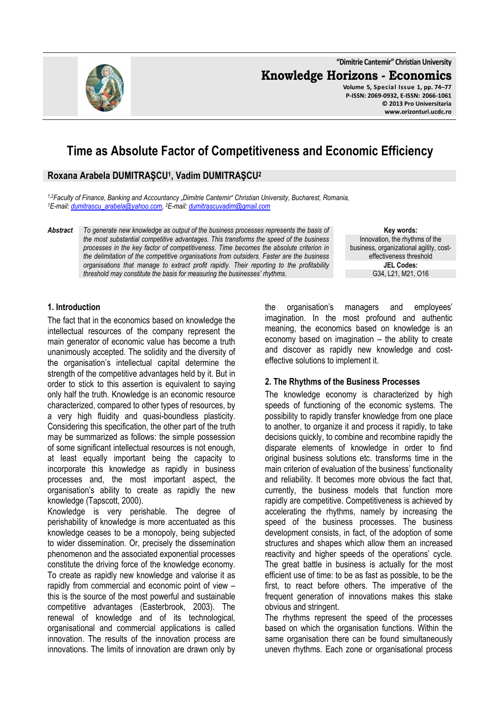**"Dimitrie Cantemir" Christian University Knowledge Horizons - Economics Volume 5, Special Issue 1, pp. 74–77 P-ISSN: 2069-0932, E-ISSN: 2066-1061 © 2013 Pro Universitaria www.orizonturi.ucdc.ro**

# **Time as Absolute Factor of Competitiveness and Economic Efficiency**

## **Roxana Arabela DUMITRAŞCU<sup>1</sup> , Vadim DUMITRAŞCU<sup>2</sup>**

*1,2Faculty of Finance, Banking and Accountancy "Dimitrie Cantemir" Christian University, Bucharest, Romania, <sup>1</sup>E-mail: dumitrascu\_arabela@yahoo.com, <sup>2</sup>E-mail: dumitrascuvadim@gmail.com*

*Abstract To generate new knowledge as output of the business processes represents the basis of the most substantial competitive advantages. This transforms the speed of the business processes in the key factor of competitiveness. Time becomes the absolute criterion in the delimitation of the competitive organisations from outsiders. Faster are the business organisations that manage to extract profit rapidly. Their reporting to the profitability threshold may constitute the basis for measuring the businesses' rhythms.* 

**Key words:** Innovation, the rhythms of the business, organizational agility, costeffectiveness threshold **JEL Codes:** G34, L21, M21, O16

#### **1. Introduction**

The fact that in the economics based on knowledge the intellectual resources of the company represent the main generator of economic value has become a truth unanimously accepted. The solidity and the diversity of the organisation's intellectual capital determine the strength of the competitive advantages held by it. But in order to stick to this assertion is equivalent to saying only half the truth. Knowledge is an economic resource characterized, compared to other types of resources, by a very high fluidity and quasi-boundless plasticity. Considering this specification, the other part of the truth may be summarized as follows: the simple possession of some significant intellectual resources is not enough, at least equally important being the capacity to incorporate this knowledge as rapidly in business processes and, the most important aspect, the organisation's ability to create as rapidly the new knowledge (Tapscott, 2000).

Knowledge is very perishable. The degree of perishability of knowledge is more accentuated as this knowledge ceases to be a monopoly, being subjected to wider dissemination. Or, precisely the dissemination phenomenon and the associated exponential processes constitute the driving force of the knowledge economy. To create as rapidly new knowledge and valorise it as rapidly from commercial and economic point of view – this is the source of the most powerful and sustainable competitive advantages (Easterbrook, 2003). The renewal of knowledge and of its technological, organisational and commercial applications is called innovation. The results of the innovation process are innovations. The limits of innovation are drawn only by

the organisation's managers and employees' imagination. In the most profound and authentic meaning, the economics based on knowledge is an economy based on imagination – the ability to create and discover as rapidly new knowledge and costeffective solutions to implement it.

#### **2. The Rhythms of the Business Processes**

The knowledge economy is characterized by high speeds of functioning of the economic systems. The possibility to rapidly transfer knowledge from one place to another, to organize it and process it rapidly, to take decisions quickly, to combine and recombine rapidly the disparate elements of knowledge in order to find original business solutions etc. transforms time in the main criterion of evaluation of the business' functionality and reliability. It becomes more obvious the fact that, currently, the business models that function more rapidly are competitive. Competitiveness is achieved by accelerating the rhythms, namely by increasing the speed of the business processes. The business development consists, in fact, of the adoption of some structures and shapes which allow them an increased reactivity and higher speeds of the operations' cycle. The great battle in business is actually for the most efficient use of time: to be as fast as possible, to be the first, to react before others. The imperative of the frequent generation of innovations makes this stake obvious and stringent.

The rhythms represent the speed of the processes based on which the organisation functions. Within the same organisation there can be found simultaneously uneven rhythms. Each zone or organisational process

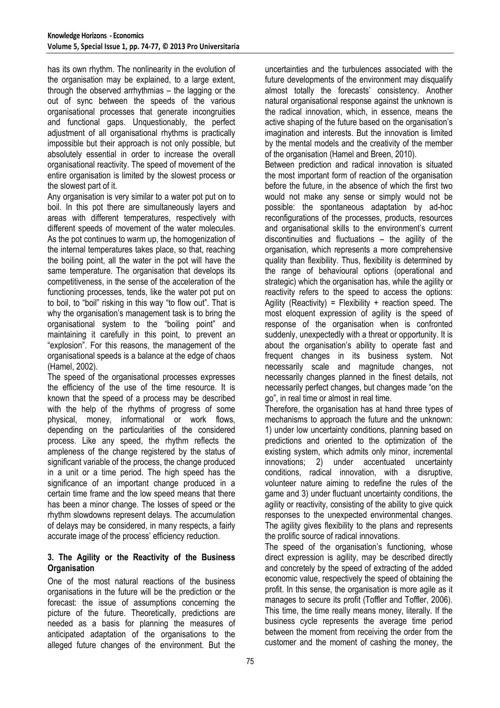has its own rhythm. The nonlinearity in the evolution of the organisation may be explained, to a large extent, through the observed arrhythmias – the lagging or the out of sync between the speeds of the various organisational processes that generate incongruities and functional gaps. Unquestionably, the perfect adjustment of all organisational rhythms is practically impossible but their approach is not only possible, but absolutely essential in order to increase the overall organisational reactivity. The speed of movement of the entire organisation is limited by the slowest process or the slowest part of it.

Any organisation is very similar to a water pot put on to boil. In this pot there are simultaneously layers and areas with different temperatures, respectively with different speeds of movement of the water molecules. As the pot continues to warm up, the homogenization of the internal temperatures takes place, so that, reaching the boiling point, all the water in the pot will have the same temperature. The organisation that develops its competitiveness, in the sense of the acceleration of the functioning processes, tends, like the water pot put on to boil, to "boil" risking in this way "to flow out". That is why the organisation's management task is to bring the organisational system to the "boiling point" and maintaining it carefully in this point, to prevent an "explosion". For this reasons, the management of the organisational speeds is a balance at the edge of chaos (Hamel, 2002).

The speed of the organisational processes expresses the efficiency of the use of the time resource. It is known that the speed of a process may be described with the help of the rhythms of progress of some physical, money, informational or work flows, depending on the particularities of the considered process. Like any speed, the rhythm reflects the ampleness of the change registered by the status of significant variable of the process, the change produced in a unit or a time period. The high speed has the significance of an important change produced in a certain time frame and the low speed means that there has been a minor change. The losses of speed or the rhythm slowdowns represent delays. The accumulation of delays may be considered, in many respects, a fairly accurate image of the process' efficiency reduction.

### **3. The Agility or the Reactivity of the Business Organisation**

One of the most natural reactions of the business organisations in the future will be the prediction or the forecast: the issue of assumptions concerning the picture of the future. Theoretically, predictions are needed as a basis for planning the measures of anticipated adaptation of the organisations to the alleged future changes of the environment. But the

uncertainties and the turbulences associated with the future developments of the environment may disqualify almost totally the forecasts' consistency. Another natural organisational response against the unknown is the radical innovation, which, in essence, means the active shaping of the future based on the organisation's imagination and interests. But the innovation is limited by the mental models and the creativity of the member of the organisation (Hamel and Breen, 2010).

Between prediction and radical innovation is situated the most important form of reaction of the organisation before the future, in the absence of which the first two would not make any sense or simply would not be possible: the spontaneous adaptation by ad-hoc reconfigurations of the processes, products, resources and organisational skills to the environment's current discontinuities and fluctuations – the agility of the organisation, which represents a more comprehensive quality than flexibility. Thus, flexibility is determined by the range of behavioural options (operational and strategic) which the organisation has, while the agility or reactivity refers to the speed to access the options: Agility (Reactivity) = Flexibility + reaction speed. The most eloquent expression of agility is the speed of response of the organisation when is confronted suddenly, unexpectedly with a threat or opportunity. It is about the organisation's ability to operate fast and frequent changes in its business system. Not necessarily scale and magnitude changes, not necessarily changes planned in the finest details, not necessarily perfect changes, but changes made "on the go", in real time or almost in real time.

Therefore, the organisation has at hand three types of mechanisms to approach the future and the unknown: 1) under low uncertainty conditions, planning based on predictions and oriented to the optimization of the existing system, which admits only minor, incremental innovations; 2) under accentuated uncertainty conditions, radical innovation, with a disruptive, volunteer nature aiming to redefine the rules of the game and 3) under fluctuant uncertainty conditions, the agility or reactivity, consisting of the ability to give quick responses to the unexpected environmental changes. The agility gives flexibility to the plans and represents the prolific source of radical innovations.

The speed of the organisation's functioning, whose direct expression is agility, may be described directly and concretely by the speed of extracting of the added economic value, respectively the speed of obtaining the profit. In this sense, the organisation is more agile as it manages to secure its profit (Toffler and Toffler, 2006). This time, the time really means money, literally. If the business cycle represents the average time period between the moment from receiving the order from the customer and the moment of cashing the money, the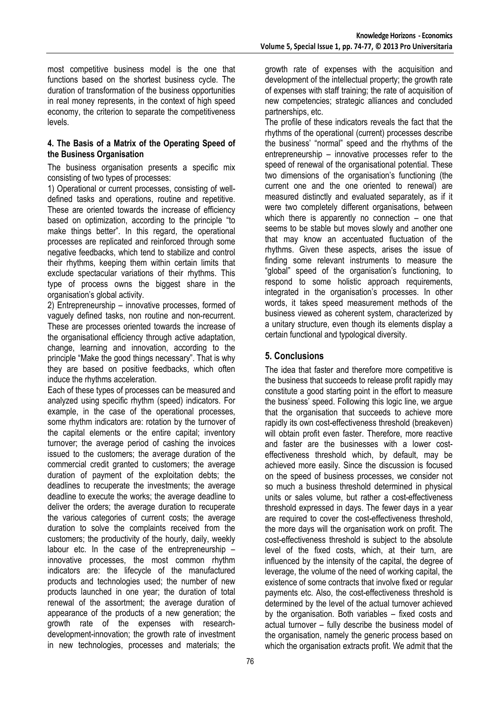most competitive business model is the one that functions based on the shortest business cycle. The duration of transformation of the business opportunities in real money represents, in the context of high speed economy, the criterion to separate the competitiveness levels.

### **4. The Basis of a Matrix of the Operating Speed of the Business Organisation**

The business organisation presents a specific mix consisting of two types of processes:

1) Operational or current processes, consisting of welldefined tasks and operations, routine and repetitive. These are oriented towards the increase of efficiency based on optimization, according to the principle "to make things better". In this regard, the operational processes are replicated and reinforced through some negative feedbacks, which tend to stabilize and control their rhythms, keeping them within certain limits that exclude spectacular variations of their rhythms. This type of process owns the biggest share in the organisation's global activity.

2) Entrepreneurship – innovative processes, formed of vaguely defined tasks, non routine and non-recurrent. These are processes oriented towards the increase of the organisational efficiency through active adaptation, change, learning and innovation, according to the principle "Make the good things necessary". That is why they are based on positive feedbacks, which often induce the rhythms acceleration.

Each of these types of processes can be measured and analyzed using specific rhythm (speed) indicators. For example, in the case of the operational processes, some rhythm indicators are: rotation by the turnover of the capital elements or the entire capital; inventory turnover; the average period of cashing the invoices issued to the customers; the average duration of the commercial credit granted to customers; the average duration of payment of the exploitation debts; the deadlines to recuperate the investments; the average deadline to execute the works; the average deadline to deliver the orders; the average duration to recuperate the various categories of current costs; the average duration to solve the complaints received from the customers; the productivity of the hourly, daily, weekly labour etc. In the case of the entrepreneurship – innovative processes, the most common rhythm indicators are: the lifecycle of the manufactured products and technologies used; the number of new products launched in one year; the duration of total renewal of the assortment; the average duration of appearance of the products of a new generation; the growth rate of the expenses with researchdevelopment-innovation; the growth rate of investment in new technologies, processes and materials; the

growth rate of expenses with the acquisition and development of the intellectual property; the growth rate of expenses with staff training; the rate of acquisition of new competencies; strategic alliances and concluded partnerships, etc.

The profile of these indicators reveals the fact that the rhythms of the operational (current) processes describe the business' "normal" speed and the rhythms of the entrepreneurship – innovative processes refer to the speed of renewal of the organisational potential. These two dimensions of the organisation's functioning (the current one and the one oriented to renewal) are measured distinctly and evaluated separately, as if it were two completely different organisations, between which there is apparently no connection – one that seems to be stable but moves slowly and another one that may know an accentuated fluctuation of the rhythms. Given these aspects, arises the issue of finding some relevant instruments to measure the "global" speed of the organisation's functioning, to respond to some holistic approach requirements, integrated in the organisation's processes. In other words, it takes speed measurement methods of the business viewed as coherent system, characterized by a unitary structure, even though its elements display a certain functional and typological diversity.

# **5. Conclusions**

The idea that faster and therefore more competitive is the business that succeeds to release profit rapidly may constitute a good starting point in the effort to measure the business' speed. Following this logic line, we argue that the organisation that succeeds to achieve more rapidly its own cost-effectiveness threshold (breakeven) will obtain profit even faster. Therefore, more reactive and faster are the businesses with a lower costeffectiveness threshold which, by default, may be achieved more easily. Since the discussion is focused on the speed of business processes, we consider not so much a business threshold determined in physical units or sales volume, but rather a cost-effectiveness threshold expressed in days. The fewer days in a year are required to cover the cost-effectiveness threshold, the more days will the organisation work on profit. The cost-effectiveness threshold is subject to the absolute level of the fixed costs, which, at their turn, are influenced by the intensity of the capital, the degree of leverage, the volume of the need of working capital, the existence of some contracts that involve fixed or regular payments etc. Also, the cost-effectiveness threshold is determined by the level of the actual turnover achieved by the organisation. Both variables – fixed costs and actual turnover – fully describe the business model of the organisation, namely the generic process based on which the organisation extracts profit. We admit that the